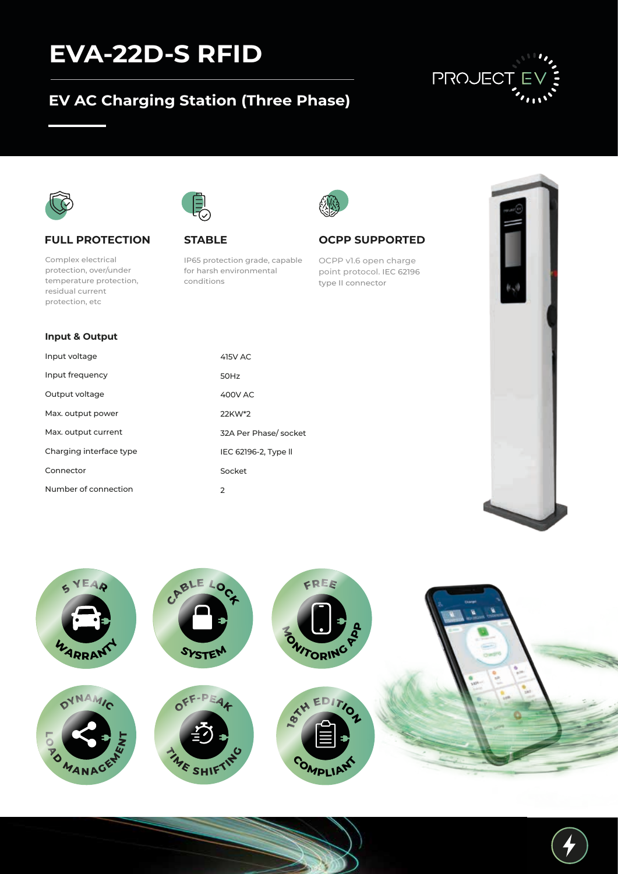## **EVA-22D-S RFID**

### **EV AC Charging Station (Three Phase)**





#### **FULL PROTECTION**

Complex electrical protection, over/under temperature protection, residual current protection, etc

**Input & Output**

Max. output power Max. output current Charging interface type

Number of connection

Connector

Input voltage Input frequency Output voltage



#### **STABLE**

IP65 protection grade, capable for harsh environmental conditions

> 415V AC 50Hz 400V AC 22KW\*2

Socket

2

32A Per Phase/ socket IEC 62196-2, Type ll



#### **OCPP SUPPORTED**

OCPP v1.6 open charge point protocol. IEC 62196 type II connector